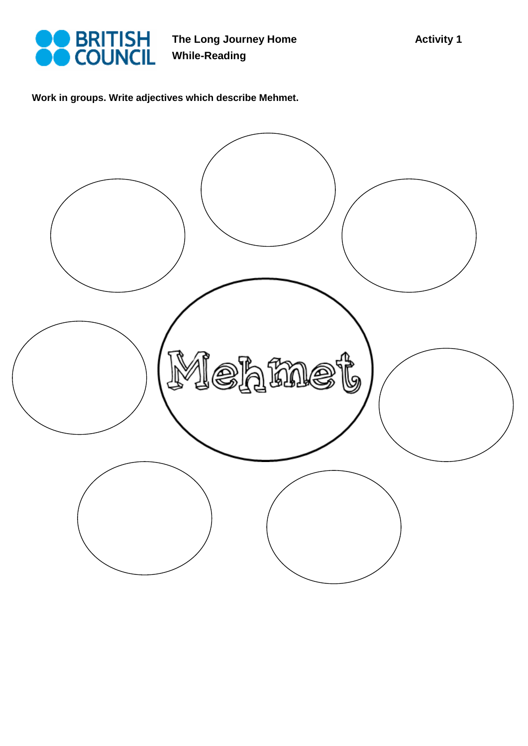

**The Long Journey Home While-Reading** 

**Work in groups. Write adjectives which describe Mehmet.** 

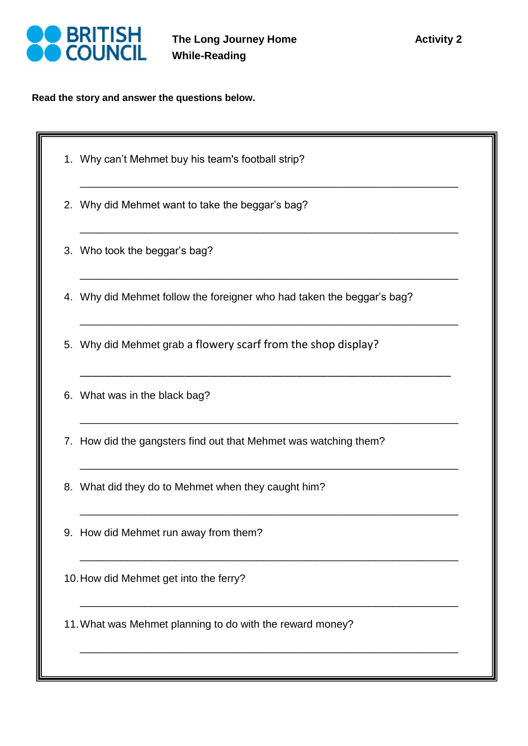

**Read the story and answer the questions below.** 

- 1. Why can't Mehmet buy his team's football strip?
- 2. Why did Mehmet want to take the beggar's bag?
- 3. Who took the beggar's bag?
- 4. Why did Mehmet follow the foreigner who had taken the beggar's bag?

\_\_\_\_\_\_\_\_\_\_\_\_\_\_\_\_\_\_\_\_\_\_\_\_\_\_\_\_\_\_\_\_\_\_\_\_\_\_\_\_\_\_\_\_\_\_\_\_\_\_\_\_\_\_\_\_\_\_\_\_\_\_\_\_

\_\_\_\_\_\_\_\_\_\_\_\_\_\_\_\_\_\_\_\_\_\_\_\_\_\_\_\_\_\_\_\_\_\_\_\_\_\_\_\_\_\_\_\_\_\_\_\_\_\_\_\_\_\_\_\_\_\_\_\_\_\_\_\_

\_\_\_\_\_\_\_\_\_\_\_\_\_\_\_\_\_\_\_\_\_\_\_\_\_\_\_\_\_\_\_\_\_\_\_\_\_\_\_\_\_\_\_\_\_\_\_\_\_\_\_\_\_\_\_\_\_\_\_\_\_\_\_\_

\_\_\_\_\_\_\_\_\_\_\_\_\_\_\_\_\_\_\_\_\_\_\_\_\_\_\_\_\_\_\_\_\_\_\_\_\_\_\_\_\_\_\_\_\_\_\_\_\_\_\_\_\_\_\_\_\_\_\_\_\_\_\_\_

\_\_\_\_\_\_\_\_\_\_\_\_\_\_\_\_\_\_\_\_\_\_\_\_\_\_\_\_\_\_\_\_\_\_\_\_\_\_\_\_\_\_\_\_\_\_\_\_\_\_\_\_\_\_\_\_\_\_\_\_

\_\_\_\_\_\_\_\_\_\_\_\_\_\_\_\_\_\_\_\_\_\_\_\_\_\_\_\_\_\_\_\_\_\_\_\_\_\_\_\_\_\_\_\_\_\_\_\_\_\_\_\_\_\_\_\_\_\_\_\_\_\_\_\_

\_\_\_\_\_\_\_\_\_\_\_\_\_\_\_\_\_\_\_\_\_\_\_\_\_\_\_\_\_\_\_\_\_\_\_\_\_\_\_\_\_\_\_\_\_\_\_\_\_\_\_\_\_\_\_\_\_\_\_\_\_\_\_\_

\_\_\_\_\_\_\_\_\_\_\_\_\_\_\_\_\_\_\_\_\_\_\_\_\_\_\_\_\_\_\_\_\_\_\_\_\_\_\_\_\_\_\_\_\_\_\_\_\_\_\_\_\_\_\_\_\_\_\_\_\_\_\_\_

\_\_\_\_\_\_\_\_\_\_\_\_\_\_\_\_\_\_\_\_\_\_\_\_\_\_\_\_\_\_\_\_\_\_\_\_\_\_\_\_\_\_\_\_\_\_\_\_\_\_\_\_\_\_\_\_\_\_\_\_\_\_\_\_

\_\_\_\_\_\_\_\_\_\_\_\_\_\_\_\_\_\_\_\_\_\_\_\_\_\_\_\_\_\_\_\_\_\_\_\_\_\_\_\_\_\_\_\_\_\_\_\_\_\_\_\_\_\_\_\_\_\_\_\_\_\_\_\_

\_\_\_\_\_\_\_\_\_\_\_\_\_\_\_\_\_\_\_\_\_\_\_\_\_\_\_\_\_\_\_\_\_\_\_\_\_\_\_\_\_\_\_\_\_\_\_\_\_\_\_\_\_\_\_\_\_\_\_\_\_\_\_\_

- 5. Why did Mehmet grab a flowery scarf from the shop display?
- 6. What was in the black bag?
- 7. How did the gangsters find out that Mehmet was watching them?
- 8. What did they do to Mehmet when they caught him?
- 9. How did Mehmet run away from them?
- 10.How did Mehmet get into the ferry?
- 11.What was Mehmet planning to do with the reward money?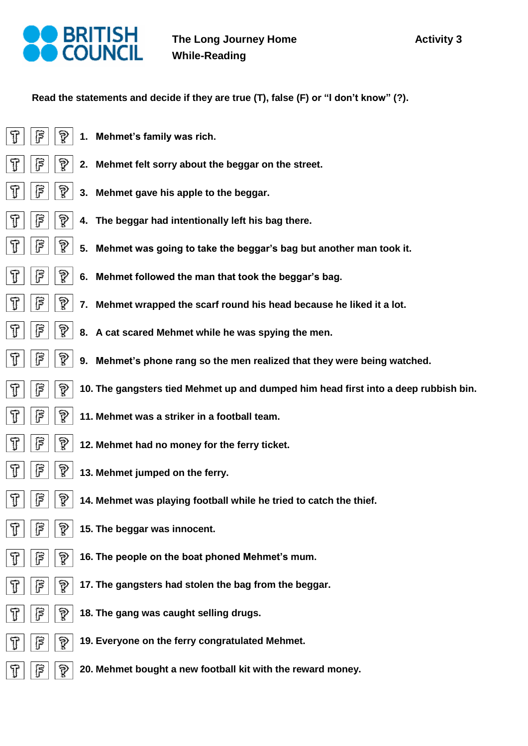

 $\mathbb{T}$ 

T

דן '

T

 $\overline{\pi}$ 

ग

 $\mathbb{T}$ 

 $\overline{\pi}$ 

 $\overline{\pi}$ 

 $\widehat{ \mathbb{T} }$ 

T

T

T

 $\overline{\pi}$ 

T

၉

F

 $\widehat{F}$ 

F

F

F

ß

၉

**Read the statements and decide if they are true (T), false (F) or "I don't know" (?).**

- ြိ P **1. Mehmet's family was rich.**
	- $\widehat{\mathbb{R}}$ **2. Mehmet felt sorry about the beggar on the street.**
	- $\widehat{\mathbb{R}}$ ၉ **3. Mehmet gave his apple to the beggar.**
		- $\widehat{\mathbb{R}}$ **4. The beggar had intentionally left his bag there.**
	- ၉ P **5. Mehmet was going to take the beggar's bag but another man took it.**
	- $\mathbb{F}$  $\widehat{R}$ **6. Mehmet followed the man that took the beggar's bag.**
		- ষ্ট **7. Mehmet wrapped the scarf round his head because he liked it a lot.**
	- ြိ P **8. A cat scared Mehmet while he was spying the men.**
- P F **9. Mehmet's phone rang so the men realized that they were being watched.**
- F P **10. The gangsters tied Mehmet up and dumped him head first into a deep rubbish bin.**
- ြိ P **11. Mehmet was a striker in a football team.**
	- ြ ৡ **12. Mehmet had no money for the ferry ticket.**
	- ြ P **13. Mehmet jumped on the ferry.**
	- ၉ P **14. Mehmet was playing football while he tried to catch the thief.**
	- ၉ြ P **15. The beggar was innocent.**
		- P **16. The people on the boat phoned Mehmet's mum.**
		- $\widehat{\mathbb{R}}$ **17. The gangsters had stolen the bag from the beggar.**
		- $\widehat{R}$ **18. The gang was caught selling drugs.**
			- P **19. Everyone on the ferry congratulated Mehmet.**
			- $\widehat{R}$ **20. Mehmet bought a new football kit with the reward money.**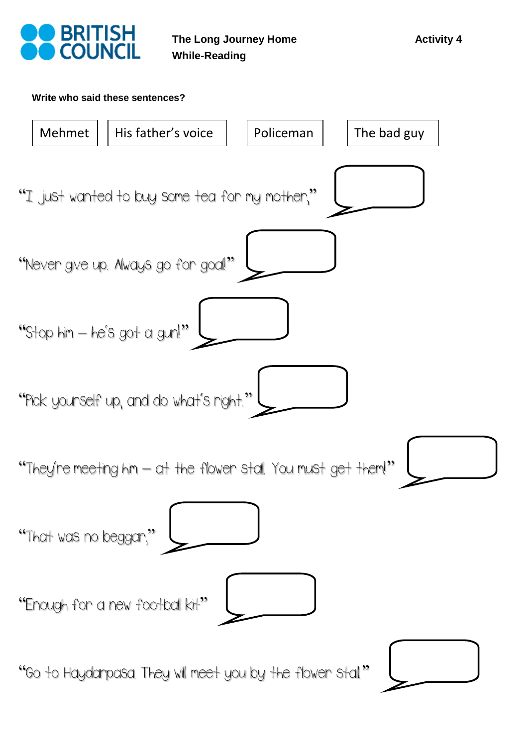



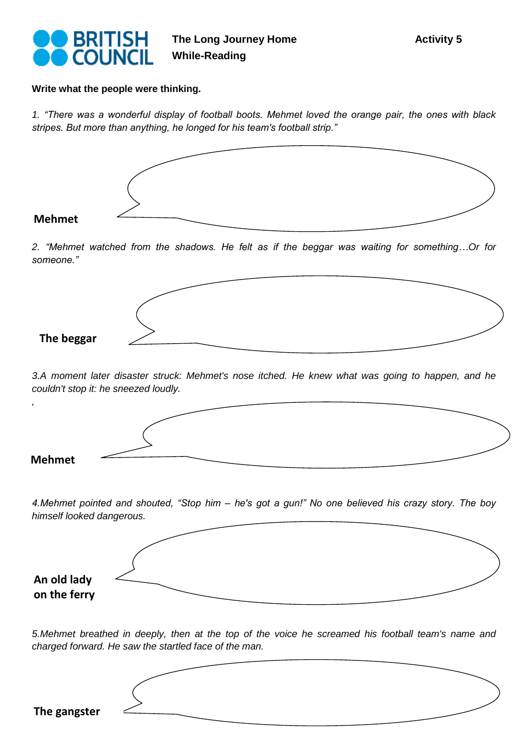

**Write what the people were thinking.** 

*1. "There was a wonderful display of football boots. Mehmet loved the orange pair, the ones with black stripes. But more than anything, he longed for his team's football strip."*



## **Mehmet**

*2. "Mehmet watched from the shadows. He felt as if the beggar was waiting for something…Or for someone."*



*3.A moment later disaster struck: Mehmet's nose itched. He knew what was going to happen, and he couldn't stop it: he sneezed loudly.*



*4.Mehmet pointed and shouted, "Stop him – he's got a gun!" No one believed his crazy story. The boy himself looked dangerous.*



*5.Mehmet breathed in deeply, then at the top of the voice he screamed his football team's name and charged forward. He saw the startled face of the man.*

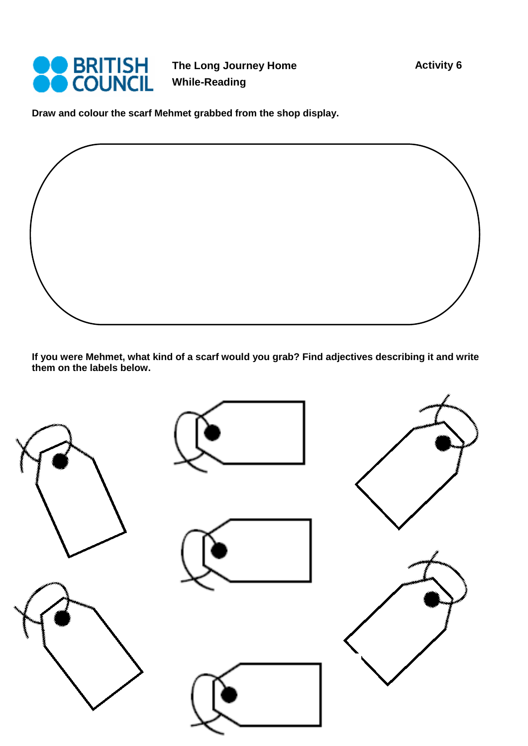

**The Long Journey Home While-Reading** 

**Draw and colour the scarf Mehmet grabbed from the shop display.**

**If you were Mehmet, what kind of a scarf would you grab? Find adjectives describing it and write them on the labels below.** 

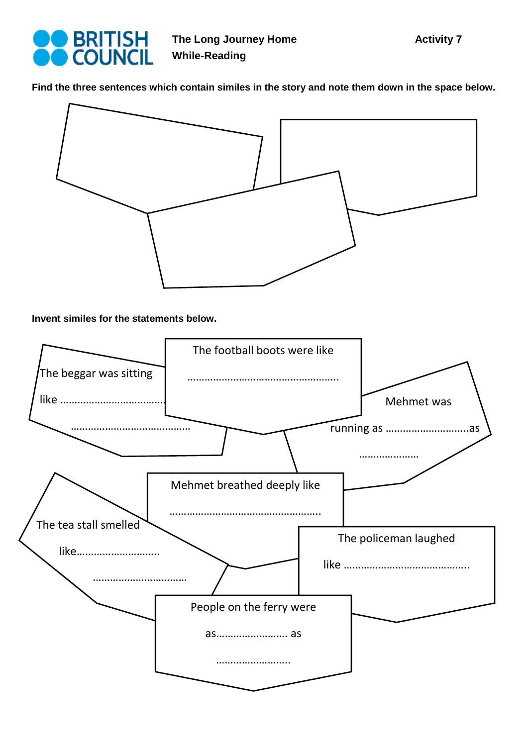

**Find the three sentences which contain similes in the story and note them down in the space below.**



**Invent similes for the statements below.** 

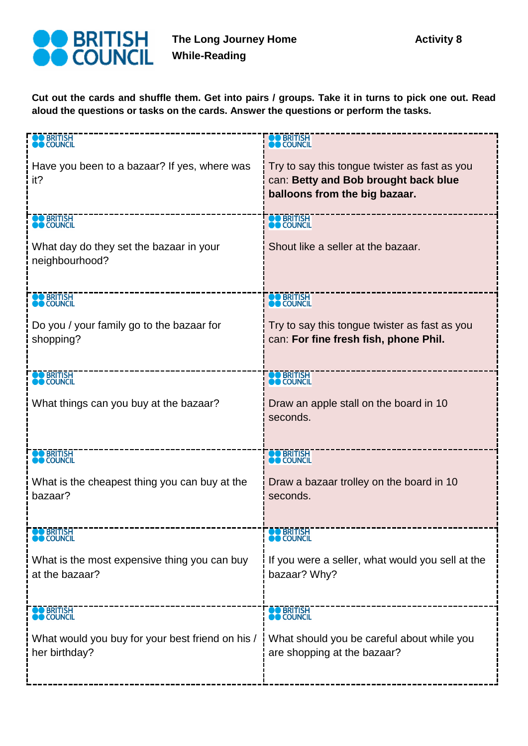

**Cut out the cards and shuffle them. Get into pairs / groups. Take it in turns to pick one out. Read aloud the questions or tasks on the cards. Answer the questions or perform the tasks.** 

| <b>BRITISH</b>                                            | <b>O</b> BRITISH                                                                                                       |
|-----------------------------------------------------------|------------------------------------------------------------------------------------------------------------------------|
| <b>COUNCIL</b>                                            | <b>COUNCIL</b>                                                                                                         |
| Have you been to a bazaar? If yes, where was<br>it?       | Try to say this tongue twister as fast as you<br>can: Betty and Bob brought back blue<br>balloons from the big bazaar. |
| <b>O</b> BRITISH                                          | <b>BRITISH</b>                                                                                                         |
| <b>COUNCIL</b>                                            | <b>O</b> COUNCIL                                                                                                       |
| What day do they set the bazaar in your<br>neighbourhood? | Shout like a seller at the bazaar.                                                                                     |
| <b>DO BRITISH</b>                                         | <b>BRITISH</b>                                                                                                         |
| <b>COUNCIL</b>                                            | <b>O</b> COUNCIL                                                                                                       |
| Do you / your family go to the bazaar for                 | Try to say this tongue twister as fast as you                                                                          |
| shopping?                                                 | can: For fine fresh fish, phone Phil.                                                                                  |
| <b>O BRITISH</b>                                          | <b>DO BRITISH</b>                                                                                                      |
| <b>O</b> COUNCIL                                          | <b>DO</b> COUNCIL                                                                                                      |
| What things can you buy at the bazaar?                    | Draw an apple stall on the board in 10<br>seconds.                                                                     |
| <b>DO BRITISH</b>                                         | <b>DO BRITISH</b>                                                                                                      |
| <b>DO</b> COUNCIL                                         | <b>DO</b> COUNCIL                                                                                                      |
| What is the cheapest thing you can buy at the             | Draw a bazaar trolley on the board in 10                                                                               |
| bazaar?                                                   | seconds.                                                                                                               |
| <b>O BRITISH</b><br><b>O COUNCIL</b>                      | <b>DO BRITISH</b><br><b>COUNCIL</b>                                                                                    |
| What is the most expensive thing you can buy              | If you were a seller, what would you sell at the                                                                       |
| at the bazaar?                                            | bazaar? Why?                                                                                                           |
| <b>OO BRITISH</b>                                         | <b>OO</b> BRITISH                                                                                                      |
| <b>COUNCIL</b>                                            | <b>O</b> COUNCIL                                                                                                       |
| What would you buy for your best friend on his /          | What should you be careful about while you                                                                             |
| her birthday?                                             | are shopping at the bazaar?                                                                                            |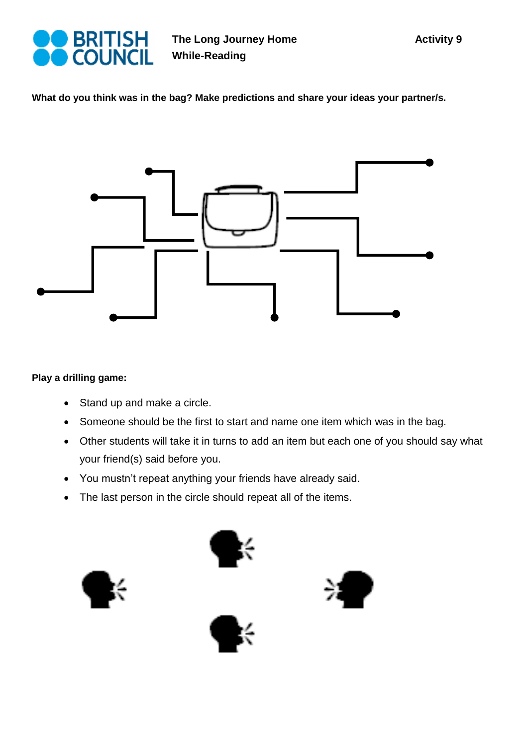

**What do you think was in the bag? Make predictions and share your ideas your partner/s.** 



## **Play a drilling game:**

- Stand up and make a circle.
- Someone should be the first to start and name one item which was in the bag.
- Other students will take it in turns to add an item but each one of you should say what your friend(s) said before you.
- You mustn't repeat anything your friends have already said.
- The last person in the circle should repeat all of the items.





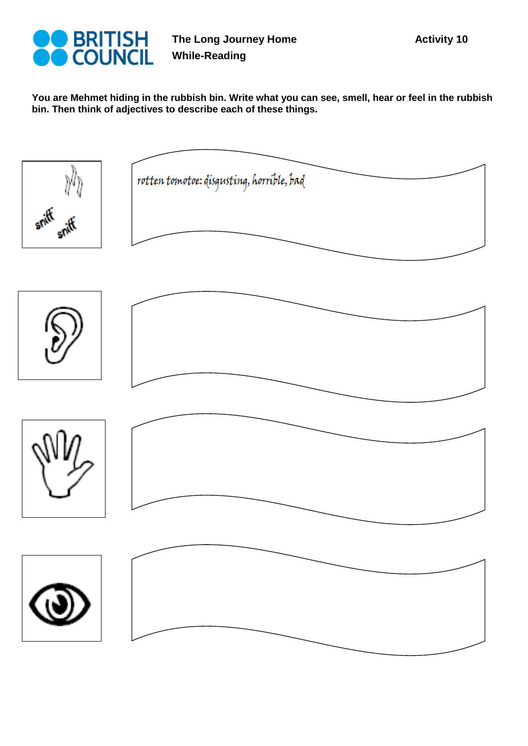

**You are Mehmet hiding in the rubbish bin. Write what you can see, smell, hear or feel in the rubbish bin. Then think of adjectives to describe each of these things.**